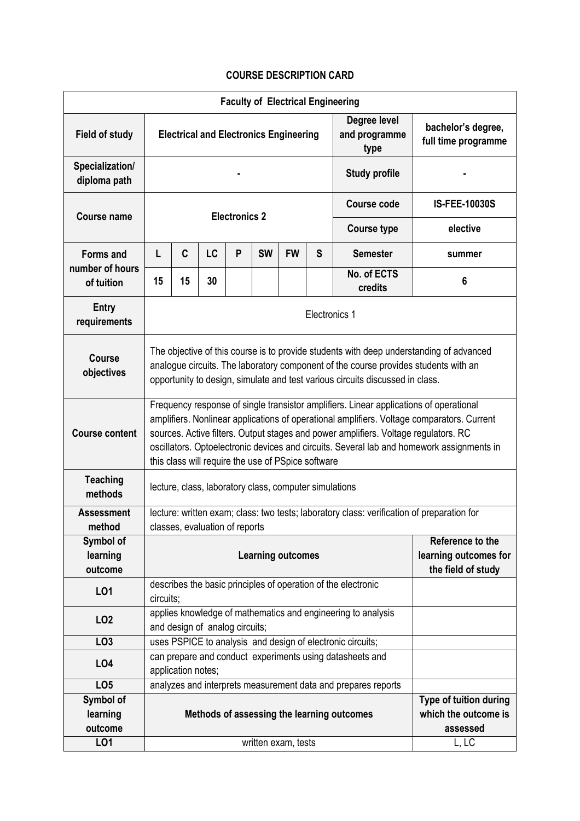## **COURSE DESCRIPTION CARD**

| <b>Faculty of Electrical Engineering</b> |                                                                                                                                                                                                                                                                                                                                                                                                                                |                                                                                                |    |   |           |                     |                       |                                                               |                                           |  |
|------------------------------------------|--------------------------------------------------------------------------------------------------------------------------------------------------------------------------------------------------------------------------------------------------------------------------------------------------------------------------------------------------------------------------------------------------------------------------------|------------------------------------------------------------------------------------------------|----|---|-----------|---------------------|-----------------------|---------------------------------------------------------------|-------------------------------------------|--|
| <b>Field of study</b>                    | <b>Electrical and Electronics Engineering</b><br>type                                                                                                                                                                                                                                                                                                                                                                          |                                                                                                |    |   |           |                     |                       | Degree level<br>and programme                                 | bachelor's degree,<br>full time programme |  |
| Specialization/<br>diploma path          | <b>Study profile</b>                                                                                                                                                                                                                                                                                                                                                                                                           |                                                                                                |    |   |           |                     |                       |                                                               |                                           |  |
| <b>Course name</b>                       | <b>Electronics 2</b>                                                                                                                                                                                                                                                                                                                                                                                                           |                                                                                                |    |   |           |                     |                       | <b>Course code</b>                                            | IS-FEE-10030S                             |  |
|                                          |                                                                                                                                                                                                                                                                                                                                                                                                                                |                                                                                                |    |   |           |                     |                       | <b>Course type</b>                                            | elective                                  |  |
| <b>Forms and</b><br>number of hours      | L                                                                                                                                                                                                                                                                                                                                                                                                                              | C                                                                                              | LC | P | <b>SW</b> | <b>FW</b>           | S                     | <b>Semester</b>                                               | summer                                    |  |
| of tuition                               | 15                                                                                                                                                                                                                                                                                                                                                                                                                             | 15                                                                                             | 30 |   |           |                     |                       | No. of ECTS<br>credits                                        | 6                                         |  |
| <b>Entry</b><br>requirements             | Electronics 1                                                                                                                                                                                                                                                                                                                                                                                                                  |                                                                                                |    |   |           |                     |                       |                                                               |                                           |  |
| <b>Course</b><br>objectives              | The objective of this course is to provide students with deep understanding of advanced<br>analogue circuits. The laboratory component of the course provides students with an<br>opportunity to design, simulate and test various circuits discussed in class.                                                                                                                                                                |                                                                                                |    |   |           |                     |                       |                                                               |                                           |  |
| <b>Course content</b>                    | Frequency response of single transistor amplifiers. Linear applications of operational<br>amplifiers. Nonlinear applications of operational amplifiers. Voltage comparators. Current<br>sources. Active filters. Output stages and power amplifiers. Voltage regulators. RC<br>oscillators. Optoelectronic devices and circuits. Several lab and homework assignments in<br>this class will require the use of PSpice software |                                                                                                |    |   |           |                     |                       |                                                               |                                           |  |
| <b>Teaching</b><br>methods               | lecture, class, laboratory class, computer simulations                                                                                                                                                                                                                                                                                                                                                                         |                                                                                                |    |   |           |                     |                       |                                                               |                                           |  |
| <b>Assessment</b><br>method              | lecture: written exam; class: two tests; laboratory class: verification of preparation for                                                                                                                                                                                                                                                                                                                                     |                                                                                                |    |   |           |                     |                       |                                                               |                                           |  |
|                                          | classes, evaluation of reports                                                                                                                                                                                                                                                                                                                                                                                                 |                                                                                                |    |   |           |                     |                       |                                                               |                                           |  |
| Symbol of<br>learning<br>outcome         | Reference to the<br><b>Learning outcomes</b><br>the field of study                                                                                                                                                                                                                                                                                                                                                             |                                                                                                |    |   |           |                     | learning outcomes for |                                                               |                                           |  |
| LO1                                      | describes the basic principles of operation of the electronic<br>circuits;                                                                                                                                                                                                                                                                                                                                                     |                                                                                                |    |   |           |                     |                       |                                                               |                                           |  |
| LO <sub>2</sub>                          |                                                                                                                                                                                                                                                                                                                                                                                                                                | applies knowledge of mathematics and engineering to analysis<br>and design of analog circuits; |    |   |           |                     |                       |                                                               |                                           |  |
| LO <sub>3</sub>                          |                                                                                                                                                                                                                                                                                                                                                                                                                                |                                                                                                |    |   |           |                     |                       | uses PSPICE to analysis and design of electronic circuits;    |                                           |  |
| LO <sub>4</sub>                          |                                                                                                                                                                                                                                                                                                                                                                                                                                | can prepare and conduct experiments using datasheets and<br>application notes;                 |    |   |           |                     |                       |                                                               |                                           |  |
| LO <sub>5</sub>                          |                                                                                                                                                                                                                                                                                                                                                                                                                                |                                                                                                |    |   |           |                     |                       | analyzes and interprets measurement data and prepares reports |                                           |  |
| Symbol of                                |                                                                                                                                                                                                                                                                                                                                                                                                                                |                                                                                                |    |   |           |                     |                       |                                                               | Type of tuition during                    |  |
| learning                                 | Methods of assessing the learning outcomes                                                                                                                                                                                                                                                                                                                                                                                     |                                                                                                |    |   |           |                     | which the outcome is  |                                                               |                                           |  |
| outcome                                  |                                                                                                                                                                                                                                                                                                                                                                                                                                |                                                                                                |    |   |           | assessed            |                       |                                                               |                                           |  |
| LO1                                      |                                                                                                                                                                                                                                                                                                                                                                                                                                |                                                                                                |    |   |           | written exam, tests |                       |                                                               | L, LC                                     |  |